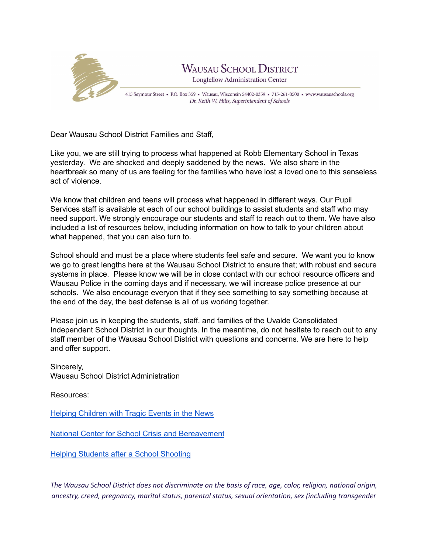

Dear Wausau School District Families and Staff,

Like you, we are still trying to process what happened at Robb Elementary School in Texas yesterday. We are shocked and deeply saddened by the news. We also share in the heartbreak so many of us are feeling for the families who have lost a loved one to this senseless act of violence.

We know that children and teens will process what happened in different ways. Our Pupil Services staff is available at each of our school buildings to assist students and staff who may need support. We strongly encourage our students and staff to reach out to them. We have also included a list of resources below, including information on how to talk to your children about what happened, that you can also turn to.

School should and must be a place where students feel safe and secure. We want you to know we go to great lengths here at the Wausau School District to ensure that; with robust and secure systems in place. Please know we will be in close contact with our school resource officers and Wausau Police in the coming days and if necessary, we will increase police presence at our schools. We also encourage everyon that if they see something to say something because at the end of the day, the best defense is all of us working together.

Please join us in keeping the students, staff, and families of the Uvalde Consolidated Independent School District in our thoughts. In the meantime, do not hesitate to reach out to any staff member of the Wausau School District with questions and concerns. We are here to help and offer support.

Sincerely, Wausau School District Administration

Resources:

Helping [Children](https://www.pbs.org/parents/thrive/helping-children-with-tragic-events-in-the-news?fbclid=IwAR3jmdGdN7OtAzrVfm_JaFpheho1Do0QtB5wdiizln1L0fV0uwogDcdETUc&fs=e&s=cl#.Yo2Nh1HhbDE.facebook) with Tragic Events in the News

National Center for School Crisis and [Bereavement](https://www.schoolcrisiscenter.org/?fbclid=IwAR3nJ3BeWGW4lVcRm32oUol_NZTftb-cUQ4O4f_2ugWhXHQD8_m92YvKxlo)

Helping [Students](https://www.schoolcounselor.org/Publications-Research/Publications/Free-ASCA-Resources/After-a-School-Shooting?fs=e&s=cl) after a School Shooting

The Wausau School District does not discriminate on the basis of race, age, color, religion, national origin, *ancestry, creed, pregnancy, marital status, parental status, sexual orientation, sex (including transgender*